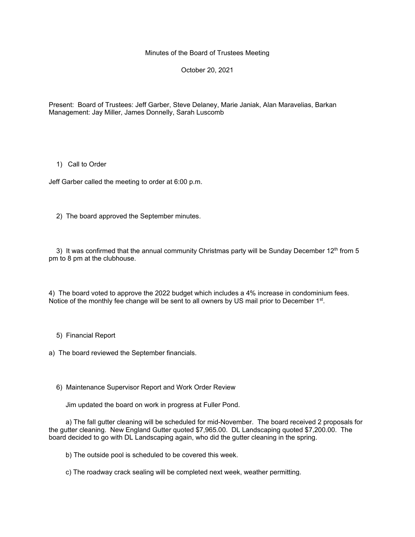Minutes of the Board of Trustees Meeting

October 20, 2021

Present: Board of Trustees: Jeff Garber, Steve Delaney, Marie Janiak, Alan Maravelias, Barkan Management: Jay Miller, James Donnelly, Sarah Luscomb

## 1) Call to Order

Jeff Garber called the meeting to order at 6:00 p.m.

2) The board approved the September minutes.

3) It was confirmed that the annual community Christmas party will be Sunday December  $12<sup>th</sup>$  from 5 pm to 8 pm at the clubhouse.

4) The board voted to approve the 2022 budget which includes a 4% increase in condominium fees. Notice of the monthly fee change will be sent to all owners by US mail prior to December 1<sup>st</sup>.

5) Financial Report

a) The board reviewed the September financials.

6) Maintenance Supervisor Report and Work Order Review

Jim updated the board on work in progress at Fuller Pond.

 a) The fall gutter cleaning will be scheduled for mid-November. The board received 2 proposals for the gutter cleaning. New England Gutter quoted \$7,965.00. DL Landscaping quoted \$7,200.00. The board decided to go with DL Landscaping again, who did the gutter cleaning in the spring.

b) The outside pool is scheduled to be covered this week.

c) The roadway crack sealing will be completed next week, weather permitting.